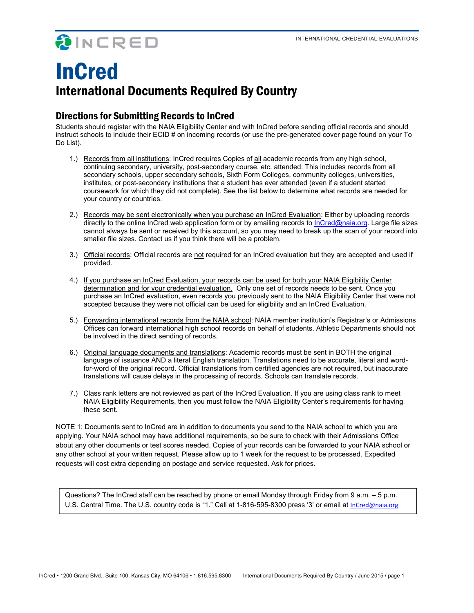OINCRED

# InCred International Documents Required By Country

### Directions for Submitting Records to InCred

Students should register with the NAIA Eligibility Center and with InCred before sending official records and should instruct schools to include their ECID # on incoming records (or use the pre-generated cover page found on your To Do List).

- 1.) Records from all institutions: InCred requires Copies of all academic records from any high school, continuing secondary, university, post-secondary course, etc. attended. This includes records from all secondary schools, upper secondary schools, Sixth Form Colleges, community colleges, universities, institutes, or post-secondary institutions that a student has ever attended (even if a student started coursework for which they did not complete). See the list below to determine what records are needed for your country or countries.
- 2.) Records may be sent electronically when you purchase an InCred Evaluation: Either by uploading records directly to the online InCred web application form or by emailing records to InCred@naia.org. Large file sizes cannot always be sent or received by this account, so you may need to break up the scan of your record into smaller file sizes. Contact us if you think there will be a problem.
- 3.) Official records: Official records are not required for an InCred evaluation but they are accepted and used if provided.
- 4.) If you purchase an InCred Evaluation, your records can be used for both your NAIA Eligibility Center determination and for your credential evaluation. Only one set of records needs to be sent. Once you purchase an InCred evaluation, even records you previously sent to the NAIA Eligibility Center that were not accepted because they were not official can be used for eligibility and an InCred Evaluation.
- 5.) Forwarding international records from the NAIA school: NAIA member institution's Registrar's or Admissions Offices can forward international high school records on behalf of students. Athletic Departments should not be involved in the direct sending of records.
- 6.) Original language documents and translations: Academic records must be sent in BOTH the original language of issuance AND a literal English translation. Translations need to be accurate, literal and wordfor-word of the original record. Official translations from certified agencies are not required, but inaccurate translations will cause delays in the processing of records. Schools can translate records.
- 7.) Class rank letters are not reviewed as part of the InCred Evaluation. If you are using class rank to meet NAIA Eligibility Requirements, then you must follow the NAIA Eligibility Center's requirements for having these sent.

NOTE 1: Documents sent to InCred are in addition to documents you send to the NAIA school to which you are applying. Your NAIA school may have additional requirements, so be sure to check with their Admissions Office about any other documents or test scores needed. Copies of your records can be forwarded to your NAIA school or any other school at your written request. Please allow up to 1 week for the request to be processed. Expedited requests will cost extra depending on postage and service requested. Ask for prices.

Questions? The InCred staff can be reached by phone or email Monday through Friday from 9 a.m. – 5 p.m. U.S. Central Time. The U.S. country code is "1." Call at 1-816-595-8300 press '3' or email at InCred@naia.org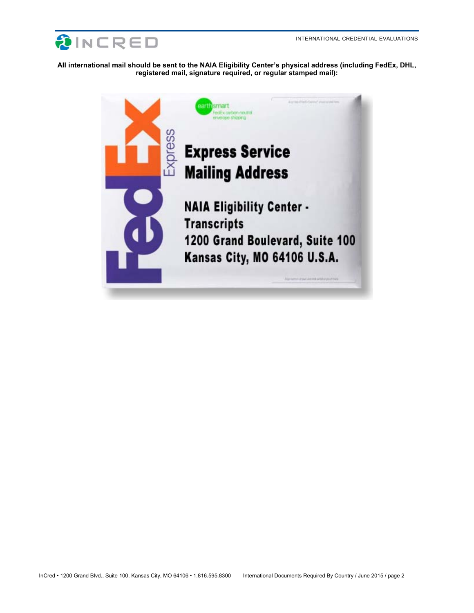

**All international mail should be sent to the NAIA Eligibility Center's physical address (including FedEx, DHL, registered mail, signature required, or regular stamped mail):** 

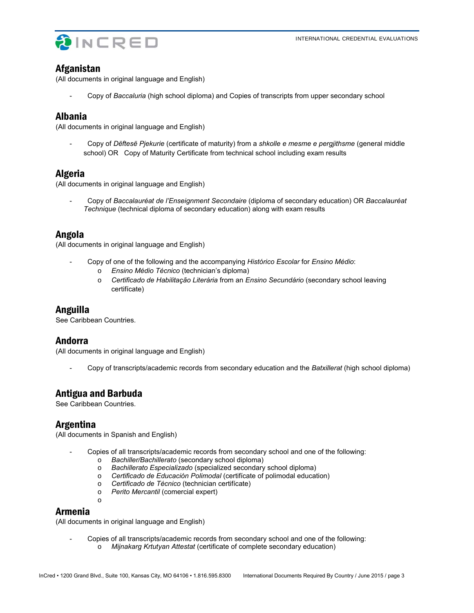



#### Afganistan

(All documents in original language and English)

- Copy of *Baccaluria* (high school diploma) and Copies of transcripts from upper secondary school

#### Albania

(All documents in original language and English)

- Copy of *Dëftesë Pjekurie* (certificate of maturity) from a *shkolle e mesme e pergjithsme* (general middle school) OR Copy of Maturity Certificate from technical school including exam results

### Algeria

(All documents in original language and English)

- Copy of *Baccalauréat de l'Enseignment Secondaire* (diploma of secondary education) OR *Baccalauréat Technique* (technical diploma of secondary education) along with exam results

### Angola

(All documents in original language and English)

- Copy of one of the following and the accompanying *Histórico Escolar* for *Ensino Médio*:
	- o *Ensino Médio Técnico* (technician's diploma)
	- o *Certificado de Habilitação Literária* from an *Ensino Secundário* (secondary school leaving certifícate)

### Anguilla

See Caribbean Countries.

### Andorra

(All documents in original language and English)

- Copy of transcripts/academic records from secondary education and the *Batxillerat* (high school diploma)

# Antigua and Barbuda

o

See Caribbean Countries.

### Argentina

(All documents in Spanish and English)

- Copies of all transcripts/academic records from secondary school and one of the following:
	- o *Bachiller/Bachillerato* (secondary school diploma)
	- o *Bachillerato Especializado* (specialized secondary school diploma)
	- o *Certificado de Educación Polimodal* (certifícate of polimodal education)
	- o *Certificado de Técnico* (technician certifícate)
	- o *Perito Mercantil* (comercial expert)

#### Armenia

(All documents in original language and English)

Copies of all transcripts/academic records from secondary school and one of the following: o *Mijnakarg Krtutyan Attestat* (certificate of complete secondary education)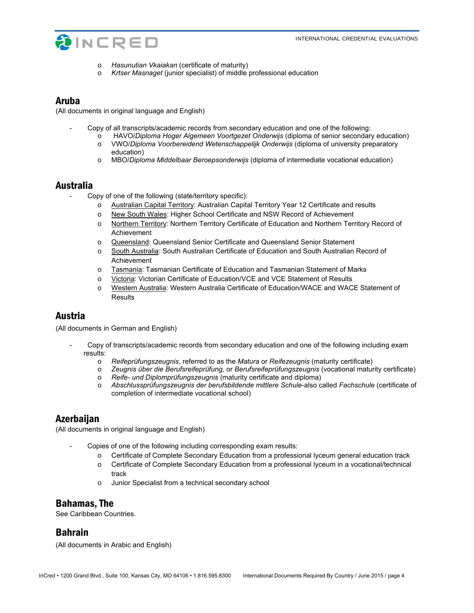

- o *Hasunutian Vkaiakan* (certificate of maturity)
- o *Krtser Masnaget* (junior specialist) of middle professional education

#### Aruba

(All documents in original language and English)

- Copy of all transcripts/academic records from secondary education and one of the following:
	- o HAVO/*Diploma Hoger Algemeen Voortgezet Onderwijs* (diploma of senior secondary education) o VWO/*Diploma Voorbereidend Wetenschappelijk Onderwijs* (diploma of university preparatory education)
	- o MBO/*Diploma Middelbaar Beroepsonderwijs* (diploma of intermediate vocational education)

#### Australia

- Copy of one of the following (state/territory specific):
	- o Australian Capital Territory: Australian Capital Territory Year 12 Certificate and results
	- o New South Wales: Higher School Certificate and NSW Record of Achievement
	- o Northern Territory: Northern Territory Certificate of Education and Northern Territory Record of Achievement
	- o Queensland: Queensland Senior Certificate and Queensland Senior Statement
	- o South Australia: South Australian Certificate of Education and South Australian Record of Achievement
	- o Tasmania: Tasmanian Certificate of Education and Tasmanian Statement of Marks
	- o Victoria: Victorian Certificate of Education/VCE and VCE Statement of Results
	- o Western Australia: Western Australia Certificate of Education/WACE and WACE Statement of Results

### Austria

(All documents in German and English)

- Copy of transcripts/academic records from secondary education and one of the following including exam results:
	- o *Reifeprüfungszeugnis*, referred to as the *Matura* or *Reifezeugnis* (maturity certificate)
	- o *Zeugnis über die Berufsreifeprüfung*, or *Berufsreifeprüfungszeugnis* (vocational maturity certificate)
	- o *Reife- und Diplomprüfungszeugnis* (maturity certificate and diploma)
	- o *Abschlussprüfungszeugnis der berufsbildende mittlere Schule*-also called *Fachschule* (certificate of completion of intermediate vocational school)

### **Azerbaijan**

(All documents in original language and English)

- Copies of one of the following including corresponding exam results:
	- o Certificate of Complete Secondary Education from a professional lyceum general education track
	- o Certificate of Complete Secondary Education from a professional lyceum in a vocational/technical track
	- o Junior Specialist from a technical secondary school

### Bahamas, The

See Caribbean Countries.

### Bahrain

(All documents in Arabic and English)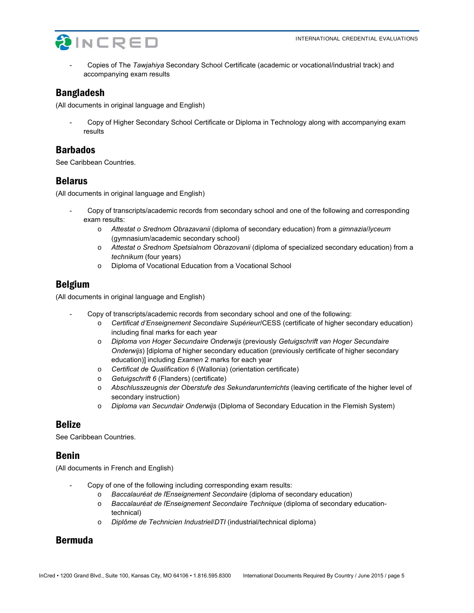

- Copies of The *Tawjahiya* Secondary School Certificate (academic or vocational/industrial track) and accompanying exam results

# Bangladesh

(All documents in original language and English)

- Copy of Higher Secondary School Certificate or Diploma in Technology along with accompanying exam results

# Barbados

See Caribbean Countries.

### Belarus

(All documents in original language and English)

- Copy of transcripts/academic records from secondary school and one of the following and corresponding exam results:
	- o *Attestat o Srednom Obrazavanii* (diploma of secondary education) from a *gimnazia*/*lyceum* (gymnasium/academic secondary school)
	- o *Attestat o Srednom Spetsialnom Obrazovanii* (diploma of specialized secondary education) from a *technikum* (four years)
	- o Diploma of Vocational Education from a Vocational School

# Belgium

(All documents in original language and English)

- Copy of transcripts/academic records from secondary school and one of the following:
	- o *Certificat d'Enseignement Secondaire Supérieur*/CESS (certificate of higher secondary education) including final marks for each year
	- o *Diploma von Hoger Secundaire Onderwijs* (previously *Getuigschrift van Hoger Secundaire Onderwijs*) [diploma of higher secondary education (previously certificate of higher secondary education)] including *Examen* 2 marks for each year
	- o *Certificat de Qualification 6* (Wallonia) (orientation certificate)
	- o *Getuigschrift 6* (Flanders) (certificate)
	- o *Abschlusszeugnis der Oberstufe des Sekundarunterrichts* (leaving certificate of the higher level of secondary instruction)
	- o *Diploma van Secundair Onderwijs* (Diploma of Secondary Education in the Flemish System)

# Belize

See Caribbean Countries.

# Benin

(All documents in French and English)

- Copy of one of the following including corresponding exam results:
	- o *Baccalauréat de ľEnseignement Secondaire* (diploma of secondary education)
		- o *Baccalauréat de ľEnseignement Secondaire Technique* (diploma of secondary educationtechnical)
		- o *Diplôme de Technicien Industriel*/*DTI* (industrial/technical diploma)

# Bermuda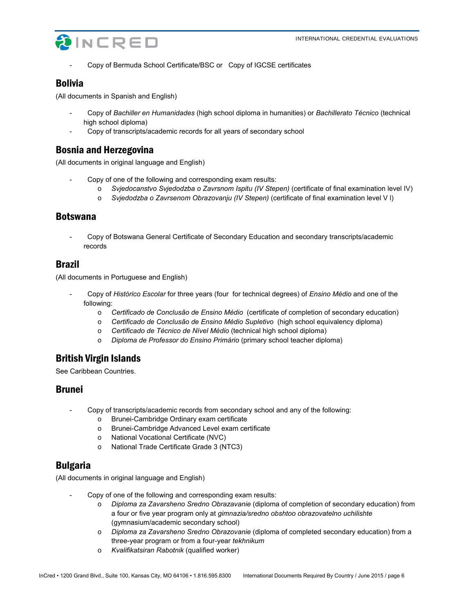

- Copy of Bermuda School Certificate/BSC or Copy of IGCSE certificates

# Bolivia

(All documents in Spanish and English)

- Copy of *Bachiller en Humanidades* (high school diploma in humanities) or *Bachillerato Técnico* (technical high school diploma)
- Copy of transcripts/academic records for all years of secondary school

### Bosnia and Herzegovina

(All documents in original language and English)

- Copy of one of the following and corresponding exam results:
	- o *Svjedocanstvo Svjedodzba o Zavrsnom Ispitu (IV Stepen)* (certificate of final examination level IV)
	- o *Svjedodzba o Zavrsenom Obrazovanju (IV Stepen)* (certificate of final examination level V l)

### Botswana

- Copy of Botswana General Certificate of Secondary Education and secondary transcripts/academic records

### Brazil

(All documents in Portuguese and English)

- Copy of *Histórico Escolar* for three years (four for technical degrees) of *Ensino Médio* and one of the following:
	- o *Certificado de Conclusão de Ensino Médio* (certificate of completion of secondary education)
	- o *Certificado de Conclusão de Ensino Médio Supletivo* (high school equivalency diploma)
	- o *Certificado de Técnico de Nível Médio* (technical high school diploma)
	- o *Diploma de Professor do Ensino Primário* (primary school teacher diploma)

# British Virgin Islands

See Caribbean Countries.

### Brunei

- Copy of transcripts/academic records from secondary school and any of the following:
	- o Brunei-Cambridge Ordinary exam certificate
	- o Brunei-Cambridge Advanced Level exam certificate
	- o National Vocational Certificate (NVC)
	- o National Trade Certificate Grade 3 (NTC3)

# Bulgaria

(All documents in original language and English)

- Copy of one of the following and corresponding exam results:
	- o *Diploma za Zavarsheno Sredno Obrazavanie* (diploma of completion of secondary education) from a four or five year program only at *gimnazia/sredno obshtoo obrazovatelno uchilishte* (gymnasium/academic secondary school)
	- o *Diploma za Zavarsheno Sredno Obrazovanie* (diploma of completed secondary education) from a three-year program or from a four-year *tekhnikum*
	- o *Kvalifikatsiran Rabotnik* (qualified worker)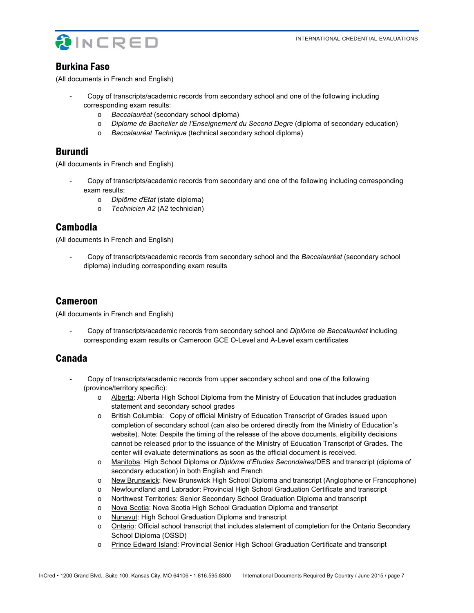

### Burkina Faso

(All documents in French and English)

- Copy of transcripts/academic records from secondary school and one of the following including corresponding exam results:
	- o *Baccalauréat* (secondary school diploma)
	- o *Diplome de Bachelier de l'Enseignement du Second Degre* (diploma of secondary education)
	- o *Baccalauréat Technique* (technical secondary school diploma)

#### Burundi

(All documents in French and English)

- Copy of transcripts/academic records from secondary and one of the following including corresponding exam results:
	- o *Diplôme ďEtat* (state diploma)
	- o *Technicien A2* (A2 technician)

### Cambodia

(All documents in French and English)

- Copy of transcripts/academic records from secondary school and the *Baccalauréat* (secondary school diploma) including corresponding exam results

### Cameroon

(All documents in French and English)

- Copy of transcripts/academic records from secondary school and *Diplôme de Baccalauréat* including corresponding exam results or Cameroon GCE O-Level and A-Level exam certificates

### Canada

- Copy of transcripts/academic records from upper secondary school and one of the following (province/territory specific):
	- o Alberta: Alberta High School Diploma from the Ministry of Education that includes graduation statement and secondary school grades
	- o British Columbia: Copy of official Ministry of Education Transcript of Grades issued upon completion of secondary school (can also be ordered directly from the Ministry of Education's website). Note: Despite the timing of the release of the above documents, eligibility decisions cannot be released prior to the issuance of the Ministry of Education Transcript of Grades. The center will evaluate determinations as soon as the official document is received.
	- o Manitoba: High School Diploma or *Diplôme d'Études Secondaires*/DES and transcript (diploma of secondary education) in both English and French
	- o New Brunswick: New Brunswick High School Diploma and transcript (Anglophone or Francophone)
	- o Newfoundland and Labrador: Provincial High School Graduation Certificate and transcript
	- o Northwest Territories: Senior Secondary School Graduation Diploma and transcript
	- o Nova Scotia: Nova Scotia High School Graduation Diploma and transcript
	- o Nunavut: High School Graduation Diploma and transcript
	- o Ontario: Official school transcript that includes statement of completion for the Ontario Secondary School Diploma (OSSD)
	- o Prince Edward Island: Provincial Senior High School Graduation Certificate and transcript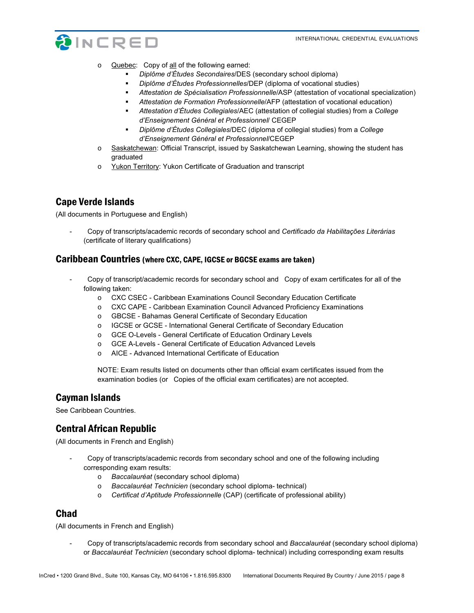

- o Quebec: Copy of all of the following earned:
	- *Diplôme d'Études Secondaires*/DES (secondary school diploma)
	- *Diplôme d'Études Professionnelles*/DEP (diploma of vocational studies)
	- *Attestation de Spécialisation Professionnelle*/ASP (attestation of vocational specialization)
	- *Attestation de Formation Professionnelle*/AFP (attestation of vocational education)
	- *Attestation d'Études Collegiales*/AEC (attestation of collegial studies) from a *College d'Enseignement Général et Professionnel*/ CEGEP
	- *Diplôme d'Études Collegiales*/DEC (diploma of collegial studies) from a *College d'Enseignement Général et Professionnel*/CEGEP
- o Saskatchewan: Official Transcript, issued by Saskatchewan Learning, showing the student has graduated
- o Yukon Territory: Yukon Certificate of Graduation and transcript

### Cape Verde Islands

(All documents in Portuguese and English)

- Copy of transcripts/academic records of secondary school and *Certificado da Habilitações Literárias* (certificate of literary qualifications)

#### Caribbean Countries (where CXC, CAPE, IGCSE or BGCSE exams are taken)

- Copy of transcript/academic records for secondary school and Copy of exam certificates for all of the following taken:
	- o CXC CSEC Caribbean Examinations Council Secondary Education Certificate
	- o CXC CAPE Caribbean Examination Council Advanced Proficiency Examinations
	- o GBCSE Bahamas General Certificate of Secondary Education
	- o IGCSE or GCSE International General Certificate of Secondary Education
	- o GCE O-Levels General Certificate of Education Ordinary Levels
	- o GCE A-Levels General Certificate of Education Advanced Levels
	- o AICE Advanced International Certificate of Education

NOTE: Exam results listed on documents other than official exam certificates issued from the examination bodies (or Copies of the official exam certificates) are not accepted.

#### Cayman Islands

See Caribbean Countries.

# Central African Republic

(All documents in French and English)

- Copy of transcripts/academic records from secondary school and one of the following including corresponding exam results:
	- o *Baccalauréat* (secondary school diploma)
	- o *Baccalauréat Technicien* (secondary school diploma- technical)
	- o *Certificat d'Aptitude Professionnelle* (CAP) (certificate of professional ability)

### Chad

(All documents in French and English)

- Copy of transcripts/academic records from secondary school and *Baccalauréat* (secondary school diploma) or *Baccalauréat Technicien* (secondary school diploma- technical) including corresponding exam results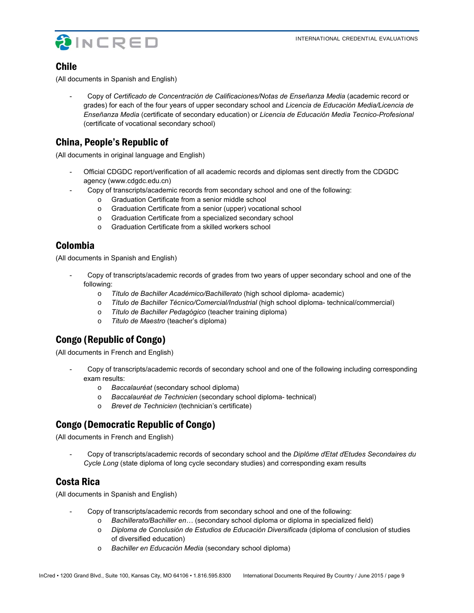

# Chile

(All documents in Spanish and English)

- Copy of *Certificado de Concentración de Calificaciones/Notas de Enseñanza Media* (academic record or grades) for each of the four years of upper secondary school and *Licencia de Educación Media/Licencia de Enseñanza Media* (certificate of secondary education) or *Licencia de Educación Media Tecnico-Profesional* (certificate of vocational secondary school)

# China, People's Republic of

(All documents in original language and English)

- Official CDGDC report/verification of all academic records and diplomas sent directly from the CDGDC agency (www.cdgdc.edu.cn)
	- Copy of transcripts/academic records from secondary school and one of the following:
		- o Graduation Certificate from a senior middle school
		- o Graduation Certificate from a senior (upper) vocational school
		- o Graduation Certificate from a specialized secondary school
		- o Graduation Certificate from a skilled workers school

# Colombia

(All documents in Spanish and English)

- Copy of transcripts/academic records of grades from two years of upper secondary school and one of the following:
	- o *Título de Bachiller Académico/Bachillerato* (high school diploma- academic)
	- o *Título de Bachiller Técnico/Comercial/Industrial* (high school diploma- technical/commercial)
	- o *Título de Bachiller Pedagógico* (teacher training diploma)
	- o *Titulo de Maestro* (teacher's diploma)

# Congo (Republic of Congo)

(All documents in French and English)

- Copy of transcripts/academic records of secondary school and one of the following including corresponding exam results:
	- o *Baccalauréat* (secondary school diploma)
	- o *Baccalauréat de Technicien* (secondary school diploma- technical)
	- o *Brevet de Technicien* (technician's certificate)

# Congo (Democratic Republic of Congo)

(All documents in French and English)

- Copy of transcripts/academic records of secondary school and the *Diplôme ďEtat ďEtudes Secondaires du Cycle Long* (state diploma of long cycle secondary studies) and corresponding exam results

# Costa Rica

(All documents in Spanish and English)

- Copy of transcripts/academic records from secondary school and one of the following:
	- o *Bachillerato/Bachiller en…* (secondary school diploma or diploma in specialized field)
	- o *Diploma de Conclusión de Estudios de Educación Diversificada* (diploma of conclusion of studies of diversified education)
	- o *Bachiller en Educación Media* (secondary school diploma)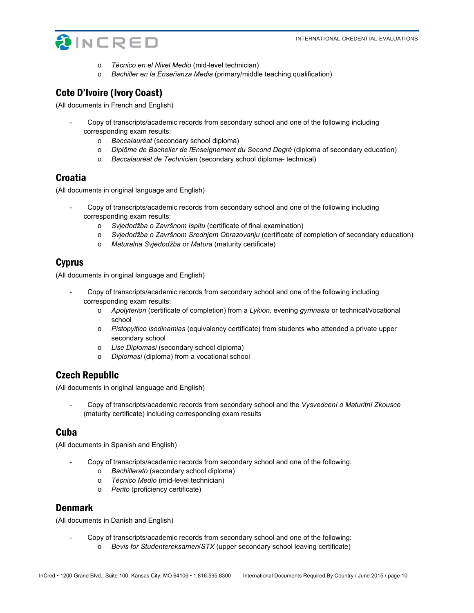

- o *Técnico en el Nivel Medio* (mid-level technician)
- o *Bachiller en la Enseñanza Media* (primary/middle teaching qualification)

# Cote D'Ivoire (Ivory Coast)

(All documents in French and English)

- Copy of transcripts/academic records from secondary school and one of the following including corresponding exam results:
	- o *Baccalauréat* (secondary school diploma)
	- o *Diplôme de Bachelier de ľEnseignement du Second Degré* (diploma of secondary education)
	- o *Baccalauréat de Technicien* (secondary school diploma- technical)

### Croatia

(All documents in original language and English)

- Copy of transcripts/academic records from secondary school and one of the following including corresponding exam results:
	- o *Svjedodžba o Završnom Ispitu* (certificate of final examination)
	- o *Svjedodžba o Završnom Srednjem Obrazovanju* (certificate of completion of secondary education)
	- o *Maturalna Svjedodžba* or *Matura* (maturity certificate)

# Cyprus

(All documents in original language and English)

- Copy of transcripts/academic records from secondary school and one of the following including corresponding exam results:
	- o *Apolyterion* (certificate of completion) from a *Lykion*, evening *gymnasia* or technical/vocational school
	- o *Pistopyitico isodinamias* (equivalency certificate) from students who attended a private upper secondary school
	- o *Lise Diplomasi* (secondary school diploma)
	- o *Diplomasi* (diploma) from a vocational school

# Czech Republic

(All documents in original language and English)

- Copy of transcripts/academic records from secondary school and the *Vysvedcení o Maturitní Zkousce* (maturity certificate) including corresponding exam results

### Cuba

(All documents in Spanish and English)

- Copy of transcripts/academic records from secondary school and one of the following:
	- o *Bachillerato* (secondary school diploma)
	- o *Técnico Medio* (mid-level technician)
	- o *Perito* (proficiency certificate)

### Denmark

(All documents in Danish and English)

- Copy of transcripts/academic records from secondary school and one of the following:
	- o *Bevis for Studentereksamen*/*STX* (upper secondary school leaving certificate)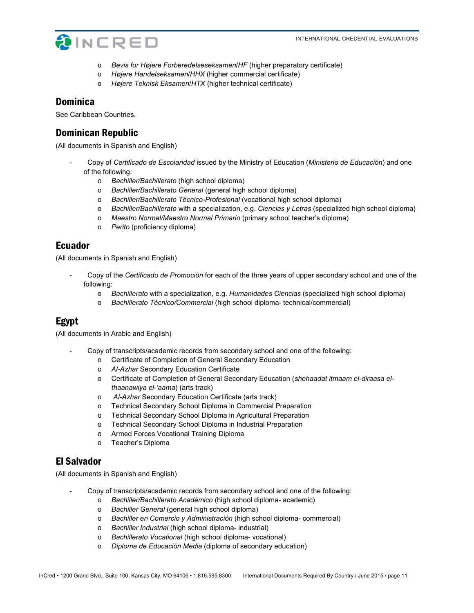

- o *Bevis for Højere Forberedelseseksamen*/*HF* (higher preparatory certificate)
- o *Højere Handelseksamen*/*HHX* (higher commercial certificate)
- o *Højere Teknisk Eksamen*/*HTX* (higher technical certificate)

#### Dominica

See Caribbean Countries.

### Dominican Republic

(All documents in Spanish and English)

- Copy of *Certificado de Escolaridad* issued by the Ministry of Education (*Ministerio de Educación*) and one of the following:
	- o *Bachiller/Bachillerato* (high school diploma)
	- o *Bachiller/Bachillerato General* (general high school diploma)
	- o *Bachiller/Bachillerato Técnico-Profesional* (vocational high school diploma)
	- o *Bachiller/Bachillerato* with a specialization, e.g. *Ciencias y Letras* (specialized high school diploma)
	- o *Maestro Normal/Maestro Normal Primario* (primary school teacher's diploma)
	- o *Perito* (proficiency diploma)

### Ecuador

(All documents in Spanish and English)

- Copy of the *Certificado de Promoción* for each of the three years of upper secondary school and one of the following:
	- o *Bachillerato* with a specialization, e.g. *Humanidades Ciencias* (specialized high school diploma)
	- o *Bachillerato Técnico/Commercial* (high school diploma- technical/commercial)

# Egypt

(All documents in Arabic and English)

- Copy of transcripts/academic records from secondary school and one of the following:
	- o Certificate of Completion of General Secondary Education
	- o *Al-Azhar* Secondary Education Certificate
	- o Certificate of Completion of General Secondary Education (*shehaadat itmaam el-diraasa elthaanawiya el-'aama*) (arts track)
	- o *Al-Azhar* Secondary Education Certificate (arts track)
	- o Technical Secondary School Diploma in Commercial Preparation
	- o Technical Secondary School Diploma in Agricultural Preparation
	- o Technical Secondary School Diploma in Industrial Preparation
	- o Armed Forces Vocational Training Diploma
	- o Teacher's Diploma

# El Salvador

(All documents in Spanish and English)

- Copy of transcripts/academic records from secondary school and one of the following:
	- o *Bachiller/Bachillerato Académico* (high school diploma- academic)
	- o *Bachiller General* (general high school diploma)
	- o *Bachiller en Comercio y Administración* (high school diploma- commercial)
	- o *Bachiller Industrial* (high school diploma- industrial)
	- o *Bachillerato Vocational* (high school diploma- vocational)
	- o *Diploma de Educación Media* (diploma of secondary education)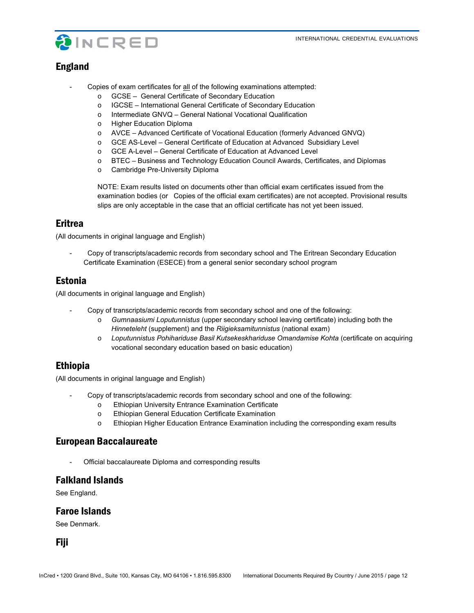

# England

- Copies of exam certificates for all of the following examinations attempted:
	- o GCSE General Certificate of Secondary Education
	- o IGCSE International General Certificate of Secondary Education
	- o Intermediate GNVQ General National Vocational Qualification
	- o Higher Education Diploma
	- o AVCE Advanced Certificate of Vocational Education (formerly Advanced GNVQ)
	- o GCE AS-Level General Certificate of Education at Advanced Subsidiary Level
	- o GCE A-Level General Certificate of Education at Advanced Level
	- o BTEC Business and Technology Education Council Awards, Certificates, and Diplomas
	- o Cambridge Pre-University Diploma

NOTE: Exam results listed on documents other than official exam certificates issued from the examination bodies (or Copies of the official exam certificates) are not accepted. Provisional results slips are only acceptable in the case that an official certificate has not yet been issued.

### Eritrea

(All documents in original language and English)

- Copy of transcripts/academic records from secondary school and The Eritrean Secondary Education Certificate Examination (ESECE) from a general senior secondary school program

# Estonia

(All documents in original language and English)

- Copy of transcripts/academic records from secondary school and one of the following:
	- o *Gumnaasiumi Loputunnistus* (upper secondary school leaving certificate) including both the *Hinneteleht* (supplement) and the *Riigieksamitunnistus* (national exam)
	- o *Loputunnistus Pohihariduse Basil Kutsekeskhariduse Omandamise Kohta* (certificate on acquiring vocational secondary education based on basic education)

# Ethiopia

(All documents in original language and English)

- Copy of transcripts/academic records from secondary school and one of the following:
	- o Ethiopian University Entrance Examination Certificate
	- o Ethiopian General Education Certificate Examination
	- o Ethiopian Higher Education Entrance Examination including the corresponding exam results

### European Baccalaureate

Official baccalaureate Diploma and corresponding results

### Falkland Islands

See England.

#### Faroe Islands

See Denmark.

Fiji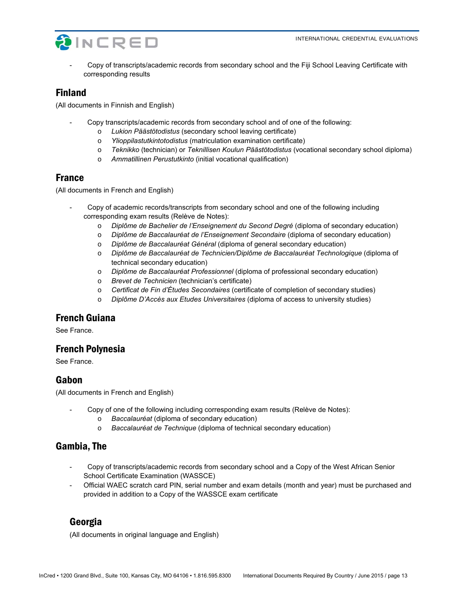

Copy of transcripts/academic records from secondary school and the Fiji School Leaving Certificate with corresponding results

# Finland

(All documents in Finnish and English)

- Copy transcripts/academic records from secondary school and of one of the following:
	- o *Lukion Päästötodistus* (secondary school leaving certificate)
	- o *Ylioppilastutkintotodistus* (matriculation examination certificate)
	- o *Teknikko* (technician) or *Teknillisen Koulun Päästötodistus* (vocational secondary school diploma)
	- o *Ammatillinen Perustutkinto* (initial vocational qualification)

# France

(All documents in French and English)

- Copy of academic records/transcripts from secondary school and one of the following including corresponding exam results (Relève de Notes):
	- o *Diplôme de Bachelier de l'Enseignement du Second Degré* (diploma of secondary education)
	- o *Diplôme de Baccalauréat de l'Enseignement Secondaire* (diploma of secondary education)
	- o *Diplôme de Baccalauréat Général* (diploma of general secondary education)
	- o *Diplôme de Baccalauréat de Technicien/Diplôme de Baccalauréat Technologique* (diploma of technical secondary education)
	- o *Diplôme de Baccalauréat Professionnel* (diploma of professional secondary education)
	- o *Brevet de Technicien* (technician's certificate)
	- o *Certificat de Fin d'Études Secondaires* (certificate of completion of secondary studies)
	- o *Diplôme D'Accès aux Etudes Universitaires* (diploma of access to university studies)

# French Guiana

See France.

# French Polynesia

See France.

# Gabon

(All documents in French and English)

- Copy of one of the following including corresponding exam results (Relève de Notes):
	- o *Baccalauréat* (diploma of secondary education)
	- o *Baccalauréat de Technique* (diploma of technical secondary education)

# Gambia, The

- Copy of transcripts/academic records from secondary school and a Copy of the West African Senior School Certificate Examination (WASSCE)
- Official WAEC scratch card PIN, serial number and exam details (month and year) must be purchased and provided in addition to a Copy of the WASSCE exam certificate

# Georgia

(All documents in original language and English)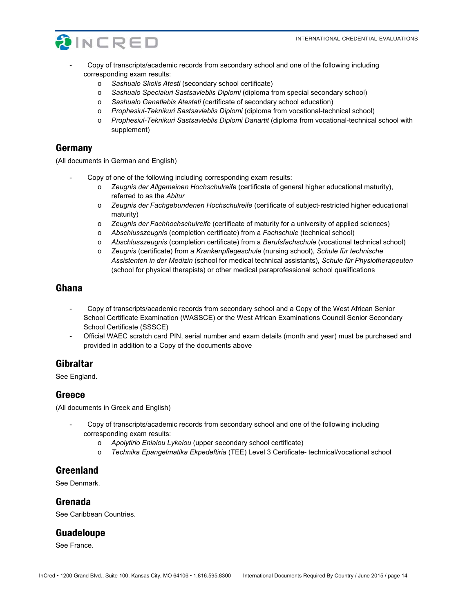

- Copy of transcripts/academic records from secondary school and one of the following including corresponding exam results:
	- o *Sashualo Skolis Atesti* (secondary school certificate)
	- o *Sashualo Specialuri Sastsavleblis Diplomi* (diploma from special secondary school)
	- o *Sashualo Ganatlebis Atestati* (certificate of secondary school education)
	- o *Prophesiul-Teknikuri Sastsavleblis Diplomi* (diploma from vocational-technical school)
	- o *Prophesiul-Teknikuri Sastsavleblis Diplomi Danartit* (diploma from vocational-technical school with supplement)

#### Germany

(All documents in German and English)

- Copy of one of the following including corresponding exam results:
	- o *Zeugnis der Allgemeinen Hochschulreife* (certificate of general higher educational maturity), referred to as the *Abitur*
	- o *Zeugnis der Fachgebundenen Hochschulreife* (certificate of subject-restricted higher educational maturity)
	- o *Zeugnis der Fachhochschulreife* (certificate of maturity for a university of applied sciences)
	- o *Abschlusszeugnis* (completion certificate) from a *Fachschule* (technical school)
	- o *Abschlusszeugnis* (completion certificate) from a *Berufsfachschule* (vocational technical school)
	- o *Zeugnis* (certificate) from a *Krankenpflegeschule* (nursing school), *Schule für technische Assistenten in der Medizin* (school for medical technical assistants), *Schule für Physiotherapeuten* (school for physical therapists) or other medical paraprofessional school qualifications

#### Ghana

- Copy of transcripts/academic records from secondary school and a Copy of the West African Senior School Certificate Examination (WASSCE) or the West African Examinations Council Senior Secondary School Certificate (SSSCE)
- Official WAEC scratch card PIN, serial number and exam details (month and year) must be purchased and provided in addition to a Copy of the documents above

# Gibraltar

See England.

#### **Greece**

(All documents in Greek and English)

- Copy of transcripts/academic records from secondary school and one of the following including corresponding exam results:
	- o *Apolytirio Eniaiou Lykeiou* (upper secondary school certificate)
	- o *Technika Epangelmatika Ekpedeftiria* (TEE) Level 3 Certificate- technical/vocational school

### Greenland

See Denmark.

#### Grenada

See Caribbean Countries.

### Guadeloupe

See France.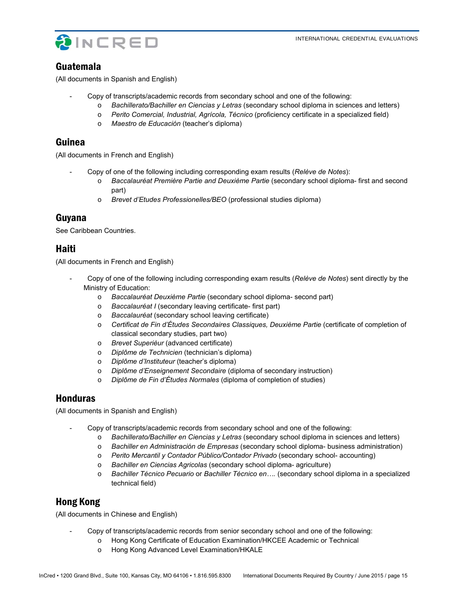

#### Guatemala

(All documents in Spanish and English)

- Copy of transcripts/academic records from secondary school and one of the following:
	- o *Bachillerato/Bachiller en Ciencias y Letras* (secondary school diploma in sciences and letters)
	- o *Perito Comercial, Industrial, Agrícola, Técnico* (proficiency certificate in a specialized field)
	- o *Maestro de Educación* (teacher's diploma)

### Guinea

(All documents in French and English)

- Copy of one of the following including corresponding exam results (*Relève de Notes*):
	- o *Baccalauréat Première Partie and Deuxième Partie* (secondary school diploma- first and second part)
	- o *Brevet d'Etudes Professionelles/BEO* (professional studies diploma)

### Guyana

See Caribbean Countries.

### Haiti

(All documents in French and English)

- Copy of one of the following including corresponding exam results (*Relève de Notes*) sent directly by the Ministry of Education:
	- o *Baccalauréat Deuxième Partie* (secondary school diploma- second part)
	- o *Baccalauréat I* (secondary leaving certificate- first part)
	- o *Baccalauréat* (secondary school leaving certificate)
	- o *Certificat de Fin d'Études Secondaires Classiques, Deuxième Partie* (certificate of completion of classical secondary studies, part two)
	- o *Brevet Superièur* (advanced certificate)
	- o *Diplôme de Technicien* (technician's diploma)
	- o *Diplôme d'Instituteur* (teacher's diploma)
	- o *Diplôme d'Enseignement Secondaire* (diploma of secondary instruction)
	- o *Diplôme de Fin d'Études Normales* (diploma of completion of studies)

#### Honduras

(All documents in Spanish and English)

- Copy of transcripts/academic records from secondary school and one of the following:
	- o *Bachillerato/Bachiller en Ciencias y Letras* (secondary school diploma in sciences and letters)
	- o *Bachiller en Administración de Empresas* (secondary school diploma- business administration)
	- o *Perito Mercantil y Contador Público/Contador Privado* (secondary school- accounting)
	- o *Bachiller en Ciencias Agricolas* (secondary school diploma- agriculture)
	- o *Bachiller Técnico Pecuario* or *Bachiller Técnico en….* (secondary school diploma in a specialized technical field)

### Hong Kong

(All documents in Chinese and English)

- Copy of transcripts/academic records from senior secondary school and one of the following:
	- o Hong Kong Certificate of Education Examination/HKCEE Academic or Technical
	- o Hong Kong Advanced Level Examination/HKALE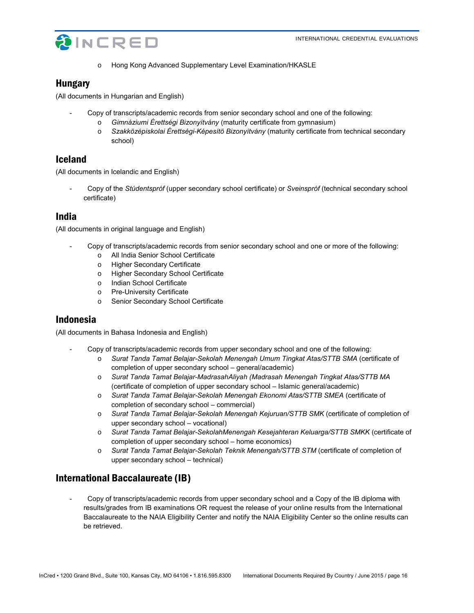

o Hong Kong Advanced Supplementary Level Examination/HKASLE

### Hungary

(All documents in Hungarian and English)

- Copy of transcripts/academic records from senior secondary school and one of the following:
	- o *Gimnáziumi Érettségi Bizonyítvány* (maturity certificate from gymnasium)
	- o *Szakközépiskolai Érettségi-Képesítö Bizonyítvány* (maturity certificate from technical secondary school)

### Iceland

(All documents in Icelandic and English)

- Copy of the *Stúdentspróf* (upper secondary school certificate) or *Sveinspróf* (technical secondary school certificate)

### India

(All documents in original language and English)

- Copy of transcripts/academic records from senior secondary school and one or more of the following:
	- o All India Senior School Certificate
	- o Higher Secondary Certificate
	- o Higher Secondary School Certificate
	- o Indian School Certificate
	- o Pre-University Certificate
	- o Senior Secondary School Certificate

# Indonesia

(All documents in Bahasa Indonesia and English)

- Copy of transcripts/academic records from upper secondary school and one of the following:
	- o *Surat Tanda Tamat Belajar-Sekolah Menengah Umum Tingkat Atas/STTB SMA* (certificate of completion of upper secondary school – general/academic)
	- o *Surat Tanda Tamat Belajar-MadrasahAliyah (Madrasah Menengah Tingkat Atas/STTB MA*  (certificate of completion of upper secondary school – Islamic general/academic)
	- o *Surat Tanda Tamat Belajar-Sekolah Menengah Ekonomi Atas/STTB SMEA* (certificate of completion of secondary school – commercial)
	- o *Surat Tanda Tamat Belajar-Sekolah Menengah Kejuruan/STTB SMK* (certificate of completion of upper secondary school – vocational)
	- o *Surat Tanda Tamat Belajar-SekolahMenengah Kesejahteran Keluarga/STTB SMKK* (certificate of completion of upper secondary school – home economics)
	- o *Surat Tanda Tamat Belajar-Sekolah Teknik Menengah/STTB STM* (certificate of completion of upper secondary school – technical)

# International Baccalaureate (IB)

- Copy of transcripts/academic records from upper secondary school and a Copy of the IB diploma with results/grades from IB examinations OR request the release of your online results from the International Baccalaureate to the NAIA Eligibility Center and notify the NAIA Eligibility Center so the online results can be retrieved.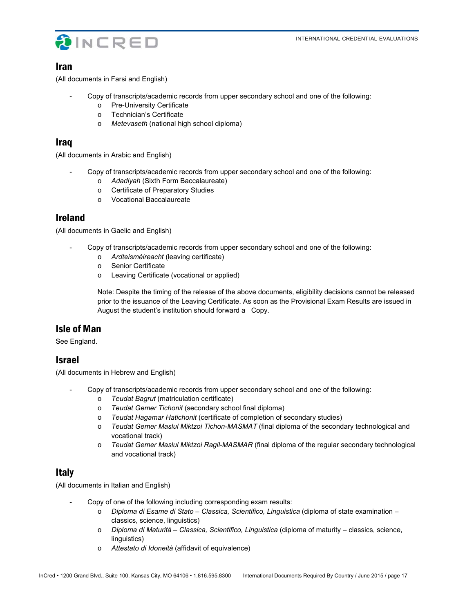



### Iran

(All documents in Farsi and English)

- Copy of transcripts/academic records from upper secondary school and one of the following:
	- o Pre-University Certificate
	- o Technician's Certificate
	- o *Metevaseth* (national high school diploma)

# Iraq

(All documents in Arabic and English)

- Copy of transcripts/academic records from upper secondary school and one of the following:
	- o *Adadiyah* (Sixth Form Baccalaureate)
	- o Certificate of Preparatory Studies
	- o Vocational Baccalaureate

# Ireland

(All documents in Gaelic and English)

- Copy of transcripts/academic records from upper secondary school and one of the following:
	- o *Ardteisméireacht* (leaving certificate)
	- o Senior Certificate
	- o Leaving Certificate (vocational or applied)

Note: Despite the timing of the release of the above documents, eligibility decisions cannot be released prior to the issuance of the Leaving Certificate. As soon as the Provisional Exam Results are issued in August the student's institution should forward a Copy.

# Isle of Man

See England.

### Israel

(All documents in Hebrew and English)

- Copy of transcripts/academic records from upper secondary school and one of the following:
	- o *Teudat Bagrut* (matriculation certificate)
	- o *Teudat Gemer Tichonit* (secondary school final diploma)
	- o *Teudat Hagamar Hatichonit* (certificate of completion of secondary studies)
	- o *Teudat Gemer Maslul Miktzoi Tichon-MASMAT* (final diploma of the secondary technological and vocational track)
	- o *Teudat Gemer Maslul Miktzoi Ragil-MASMAR* (final diploma of the regular secondary technological and vocational track)

# Italy

(All documents in Italian and English)

- Copy of one of the following including corresponding exam results:
	- o *Diploma di Esame di Stato Classica, Scientifico, Linguistica* (diploma of state examination classics, science, linguistics)
	- o *Diploma di Maturità Classica, Scientifico, Linguistica* (diploma of maturity classics, science, linguistics)
	- o *Attestato di Idoneità* (affidavit of equivalence)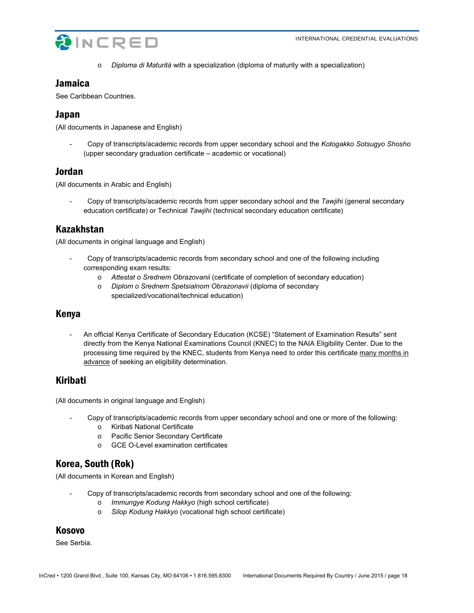

o *Diploma di Maturità* with a specialization (diploma of maturity with a specialization)

# **Jamaica**

See Caribbean Countries.

# Japan

(All documents in Japanese and English)

- Copy of transcripts/academic records from upper secondary school and the *Kotogakko Sotsugyo Shosho*  (upper secondary graduation certificate – academic or vocational)

# Jordan

(All documents in Arabic and English)

- Copy of transcripts/academic records from upper secondary school and the *Tawjihi* (general secondary education certificate) or Technical *Tawjihi* (technical secondary education certificate)

# Kazakhstan

(All documents in original language and English)

- Copy of transcripts/academic records from secondary school and one of the following including corresponding exam results:
	- o *Attestat o Srednem Obrazovanii* (certificate of completion of secondary education)
	- o *Diplom o Srednem Spetsialnom Obrazonavii* (diploma of secondary specialized/vocational/technical education)

# Kenya

- An official Kenya Certificate of Secondary Education (KCSE) "Statement of Examination Results" sent directly from the Kenya National Examinations Council (KNEC) to the NAIA Eligibility Center. Due to the processing time required by the KNEC, students from Kenya need to order this certificate many months in advance of seeking an eligibility determination.

# Kiribati

(All documents in original language and English)

- Copy of transcripts/academic records from upper secondary school and one or more of the following:
	- o Kiribati National Certificate
	- o Pacific Senior Secondary Certificate
	- o GCE O-Level examination certificates

# Korea, South (Rok)

(All documents in Korean and English)

- Copy of transcripts/academic records from secondary school and one of the following:
	- o *Immungye Kodung Hakkyo* (high school certificate)
	- o *Silop Kodung Hakkyo* (vocational high school certificate)

# Kosovo

See Serbia.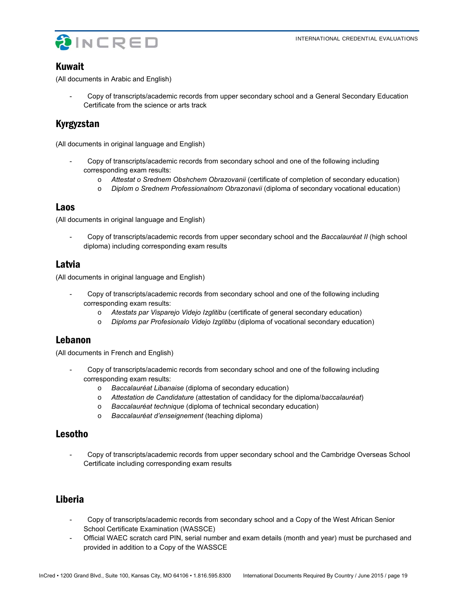

### Kuwait

(All documents in Arabic and English)

- Copy of transcripts/academic records from upper secondary school and a General Secondary Education Certificate from the science or arts track

# Kyrgyzstan

(All documents in original language and English)

- Copy of transcripts/academic records from secondary school and one of the following including corresponding exam results:
	- o *Attestat o Srednem Obshchem Obrazovanii* (certificate of completion of secondary education)
	- o *Diplom o Srednem Professionalnom Obrazonavii* (diploma of secondary vocational education)

### Laos

(All documents in original language and English)

- Copy of transcripts/academic records from upper secondary school and the *Baccalauréat II* (high school diploma) including corresponding exam results

# Latvia

(All documents in original language and English)

- Copy of transcripts/academic records from secondary school and one of the following including corresponding exam results:
	- o *Atestats par Visparejo Videjo Izglitibu* (certificate of general secondary education)
	- o *Diploms par Profesionalo Videjo Izglitibu* (diploma of vocational secondary education)

# Lebanon

(All documents in French and English)

- Copy of transcripts/academic records from secondary school and one of the following including corresponding exam results:
	- o *Baccalauréat Libanaise* (diploma of secondary education)
	- o *Attestation de Candidature* (attestation of candidacy for the diploma/*baccalauréat*)
	- o *Baccalauréat technique* (diploma of technical secondary education)
	- o *Baccalauréat d'enseignement* (teaching diploma)

# Lesotho

- Copy of transcripts/academic records from upper secondary school and the Cambridge Overseas School Certificate including corresponding exam results

# Liberia

- Copy of transcripts/academic records from secondary school and a Copy of the West African Senior School Certificate Examination (WASSCE)
- Official WAEC scratch card PIN, serial number and exam details (month and year) must be purchased and provided in addition to a Copy of the WASSCE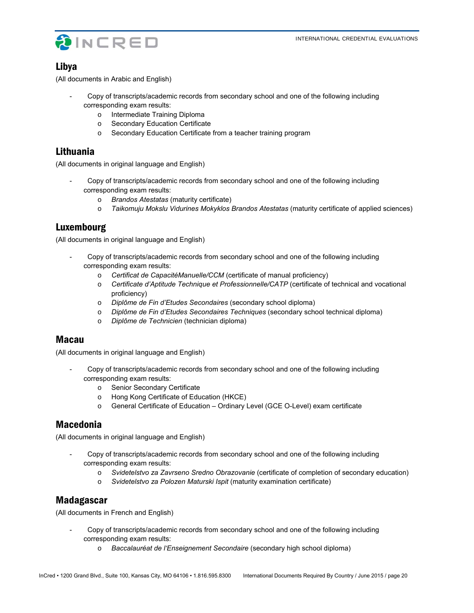

# Libya

(All documents in Arabic and English)

- Copy of transcripts/academic records from secondary school and one of the following including corresponding exam results:
	- o Intermediate Training Diploma
	- o Secondary Education Certificate
	- o Secondary Education Certificate from a teacher training program

### Lithuania

(All documents in original language and English)

- Copy of transcripts/academic records from secondary school and one of the following including corresponding exam results:
	- o *Brandos Atestatas* (maturity certificate)
	- o *Taikomuju Mokslu Vidurines Mokyklos Brandos Atestatas* (maturity certificate of applied sciences)

# Luxembourg

(All documents in original language and English)

- Copy of transcripts/academic records from secondary school and one of the following including corresponding exam results:
	- o *Certificat de CapacitéManuelle/CCM* (certificate of manual proficiency)
	- o *Certificate d'Aptitude Technique et Professionnelle/CATP* (certificate of technical and vocational proficiency)
	- o *Diplôme de Fin d'Etudes Secondaires* (secondary school diploma)
	- o *Diplôme de Fin d'Etudes Secondaires Techniques* (secondary school technical diploma)
	- o *Diplôme de Technicien* (technician diploma)

### Macau

(All documents in original language and English)

- Copy of transcripts/academic records from secondary school and one of the following including corresponding exam results:
	- o Senior Secondary Certificate
	- o Hong Kong Certificate of Education (HKCE)
	- o General Certificate of Education Ordinary Level (GCE O-Level) exam certificate

# Macedonia

(All documents in original language and English)

- Copy of transcripts/academic records from secondary school and one of the following including corresponding exam results:
	- o *Svidetelstvo za Zavrseno Sredno Obrazovanie* (certificate of completion of secondary education)
	- o *Svidetelstvo za Polozen Maturski Ispit* (maturity examination certificate)

### Madagascar

(All documents in French and English)

- Copy of transcripts/academic records from secondary school and one of the following including corresponding exam results:
	- o *Baccalauréat de l'Enseignement Secondaire* (secondary high school diploma)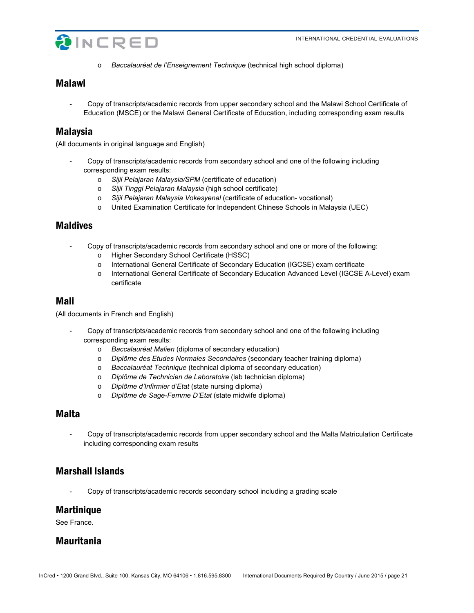

o *Baccalauréat de l'Enseignement Technique* (technical high school diploma)

### Malawi

- Copy of transcripts/academic records from upper secondary school and the Malawi School Certificate of Education (MSCE) or the Malawi General Certificate of Education, including corresponding exam results

### Malaysia

(All documents in original language and English)

- Copy of transcripts/academic records from secondary school and one of the following including corresponding exam results:
	- o *Sijil Pelajaran Malaysia/SPM* (certificate of education)
	- o *Sijil Tinggi Pelajaran Malaysia* (high school certificate)
	- o *Sijil Pelajaran Malaysia Vokesyenal* (certificate of education- vocational)
	- o United Examination Certificate for Independent Chinese Schools in Malaysia (UEC)

#### Maldives

- Copy of transcripts/academic records from secondary school and one or more of the following:
	- o Higher Secondary School Certificate (HSSC)
	- o International General Certificate of Secondary Education (IGCSE) exam certificate
	- o International General Certificate of Secondary Education Advanced Level (IGCSE A-Level) exam certificate

### Mali

(All documents in French and English)

- Copy of transcripts/academic records from secondary school and one of the following including corresponding exam results:
	- o *Baccalauréat Malien* (diploma of secondary education)
	- o *Diplôme des Etudes Normales Secondaires* (secondary teacher training diploma)
	- o *Baccalauréat Technique* (technical diploma of secondary education)
	- o *Diplôme de Technicien de Laboratoire* (lab technician diploma)
	- o *Diplôme d'Infirmier d'Etat* (state nursing diploma)
	- o *Diplôme de Sage-Femme D'Etat* (state midwife diploma)

# **Malta**

Copy of transcripts/academic records from upper secondary school and the Malta Matriculation Certificate including corresponding exam results

# Marshall Islands

- Copy of transcripts/academic records secondary school including a grading scale

#### **Martinique**

See France.

# Mauritania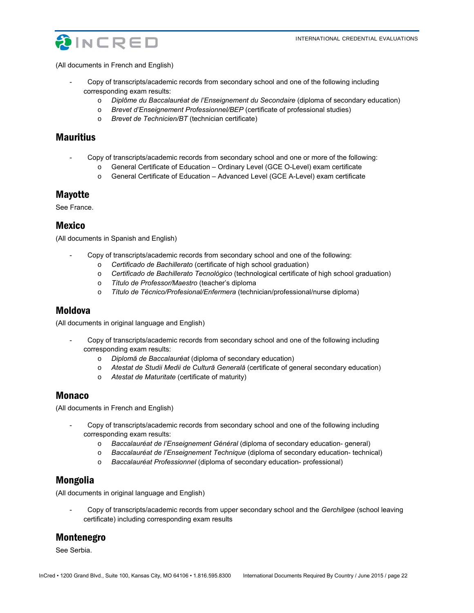

(All documents in French and English)

- Copy of transcripts/academic records from secondary school and one of the following including corresponding exam results:
	- o *Diplôme du Baccalauréat de l'Enseignement du Secondaire* (diploma of secondary education)
	- o *Brevet d'Enseignement Professionnel/BEP* (certificate of professional studies)
	- o *Brevet de Technicien/BT* (technician certificate)

# **Mauritius**

- Copy of transcripts/academic records from secondary school and one or more of the following:
	- o General Certificate of Education Ordinary Level (GCE O-Level) exam certificate
	- o General Certificate of Education Advanced Level (GCE A-Level) exam certificate

#### Mayotte

See France.

#### Mexico

(All documents in Spanish and English)

- Copy of transcripts/academic records from secondary school and one of the following:
	- o *Certificado de Bachillerato* (certificate of high school graduation)
	- o *Certificado de Bachillerato Tecnológico* (technological certificate of high school graduation)
	- o *Título de Professor/Maestro* (teacher's diploma
	- o *Título de Técnico/Profesional/Enfermera* (technician/professional/nurse diploma)

#### Moldova

(All documents in original language and English)

- Copy of transcripts/academic records from secondary school and one of the following including corresponding exam results:
	- o *Diplomă de Baccalauréat* (diploma of secondary education)
	- o *Atestat de Studii Medii de Cultură Generală* (certificate of general secondary education)
	- o *Atestat de Maturitate* (certificate of maturity)

#### Monaco

(All documents in French and English)

- Copy of transcripts/academic records from secondary school and one of the following including corresponding exam results:
	- o *Baccalauréat de l'Enseignement Général* (diploma of secondary education- general)
	- o *Baccalauréat de l'Enseignement Technique* (diploma of secondary education- technical)
	- o *Baccalauréat Professionnel* (diploma of secondary education- professional)

### Mongolia

(All documents in original language and English)

- Copy of transcripts/academic records from upper secondary school and the *Gerchilgee* (school leaving certificate) including corresponding exam results

# Montenegro

See Serbia.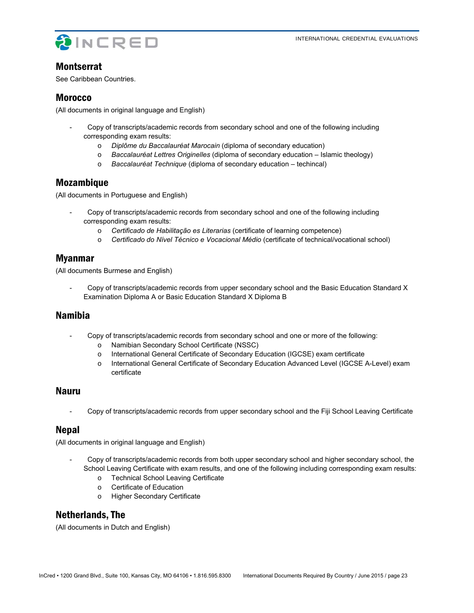

### **Montserrat**

See Caribbean Countries.

### Morocco

(All documents in original language and English)

- Copy of transcripts/academic records from secondary school and one of the following including corresponding exam results:
	- o *Diplôme du Baccalauréat Marocain* (diploma of secondary education)
	- o *Baccalauréat Lettres Originelles* (diploma of secondary education Islamic theology)
	- o *Baccalauréat Technique* (diploma of secondary education techincal)

# Mozambique

(All documents in Portuguese and English)

- Copy of transcripts/academic records from secondary school and one of the following including corresponding exam results:
	- o *Certificado de Habilitação es Literarias* (certificate of learning competence)
	- o *Certificado do Nível Técnico e Vocacional Médio* (certificate of technical/vocational school)

# Myanmar

(All documents Burmese and English)

- Copy of transcripts/academic records from upper secondary school and the Basic Education Standard X Examination Diploma A or Basic Education Standard X Diploma B

### Namibia

- Copy of transcripts/academic records from secondary school and one or more of the following:
	- o Namibian Secondary School Certificate (NSSC)
	- o International General Certificate of Secondary Education (IGCSE) exam certificate
	- o International General Certificate of Secondary Education Advanced Level (IGCSE A-Level) exam certificate

### Nauru

- Copy of transcripts/academic records from upper secondary school and the Fiji School Leaving Certificate

# Nepal

(All documents in original language and English)

- Copy of transcripts/academic records from both upper secondary school and higher secondary school, the School Leaving Certificate with exam results, and one of the following including corresponding exam results:
	- o Technical School Leaving Certificate
	- o Certificate of Education
	- o Higher Secondary Certificate

# Netherlands, The

(All documents in Dutch and English)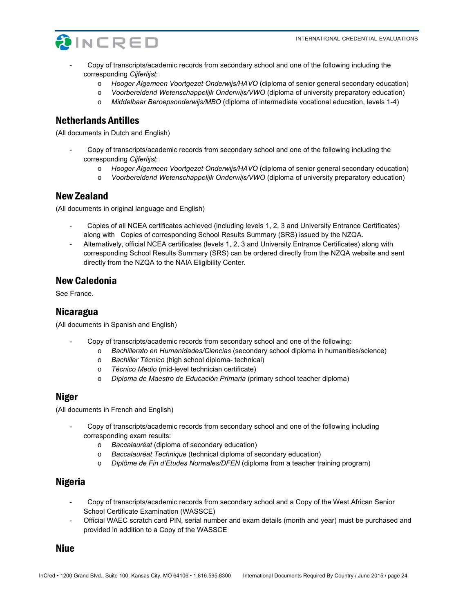

- Copy of transcripts/academic records from secondary school and one of the following including the corresponding *Cijferlijst*:
	- o *Hooger Algemeen Voortgezet Onderwijs/HAVO* (diploma of senior general secondary education)
	- o *Voorbereidend Wetenschappelijk Onderwijs/VWO* (diploma of university preparatory education)
	- o *Middelbaar Beroepsonderwijs/MBO* (diploma of intermediate vocational education, levels 1-4)

### Netherlands Antilles

(All documents in Dutch and English)

- Copy of transcripts/academic records from secondary school and one of the following including the corresponding *Cijferlijst*:
	- o *Hooger Algemeen Voortgezet Onderwijs/HAVO* (diploma of senior general secondary education)
	- o *Voorbereidend Wetenschappelijk Onderwijs/VWO* (diploma of university preparatory education)

#### New Zealand

(All documents in original language and English)

- Copies of all NCEA certificates achieved (including levels 1, 2, 3 and University Entrance Certificates) along with Copies of corresponding School Results Summary (SRS) issued by the NZQA.
- Alternatively, official NCEA certificates (levels 1, 2, 3 and University Entrance Certificates) along with corresponding School Results Summary (SRS) can be ordered directly from the NZQA website and sent directly from the NZQA to the NAIA Eligibility Center.

### New Caledonia

See France.

### Nicaragua

(All documents in Spanish and English)

- Copy of transcripts/academic records from secondary school and one of the following:
	- o *Bachillerato en Humanidades/Ciencias* (secondary school diploma in humanities/science)
	- o *Bachiller Técnico* (high school diploma- technical)
	- o *Técnico Medio* (mid-level technician certificate)
	- o *Diploma de Maestro de Educación Primaria* (primary school teacher diploma)

#### Niger

(All documents in French and English)

- Copy of transcripts/academic records from secondary school and one of the following including corresponding exam results:
	- o *Baccalauréat* (diploma of secondary education)
	- o *Baccalauréat Technique* (technical diploma of secondary education)
	- o *Diplôme de Fin d'Etudes Normales/DFEN* (diploma from a teacher training program)

### Nigeria

- Copy of transcripts/academic records from secondary school and a Copy of the West African Senior School Certificate Examination (WASSCE)
- Official WAEC scratch card PIN, serial number and exam details (month and year) must be purchased and provided in addition to a Copy of the WASSCE

#### Niue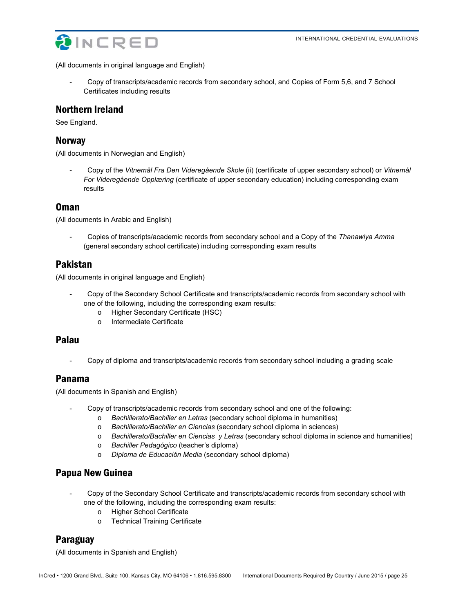

(All documents in original language and English)

- Copy of transcripts/academic records from secondary school, and Copies of Form 5,6, and 7 School Certificates including results

### Northern Ireland

See England.

#### **Norway**

(All documents in Norwegian and English)

- Copy of the *Vitnemål Fra Den Videregående Skole* (ii) (certificate of upper secondary school) or *Vitnemål For Videregående Opplæring* (certificate of upper secondary education) including corresponding exam results

#### Oman

(All documents in Arabic and English)

- Copies of transcripts/academic records from secondary school and a Copy of the *Thanawiya Amma* (general secondary school certificate) including corresponding exam results

### Pakistan

(All documents in original language and English)

- Copy of the Secondary School Certificate and transcripts/academic records from secondary school with one of the following, including the corresponding exam results:
	- o Higher Secondary Certificate (HSC)
	- o Intermediate Certificate

### Palau

- Copy of diploma and transcripts/academic records from secondary school including a grading scale

### Panama

(All documents in Spanish and English)

- Copy of transcripts/academic records from secondary school and one of the following:
	- o *Bachillerato/Bachiller en Letras* (secondary school diploma in humanities)
	- o *Bachillerato/Bachiller en Ciencias* (secondary school diploma in sciences)
	- o *Bachillerato/Bachiller en Ciencias y Letras* (secondary school diploma in science and humanities)
	- o *Bachiller Pedagógico* (teacher's diploma)
	- o *Diploma de Educación Media* (secondary school diploma)

### Papua New Guinea

- Copy of the Secondary School Certificate and transcripts/academic records from secondary school with one of the following, including the corresponding exam results:
	- o Higher School Certificate
	- o Technical Training Certificate

# Paraguay

(All documents in Spanish and English)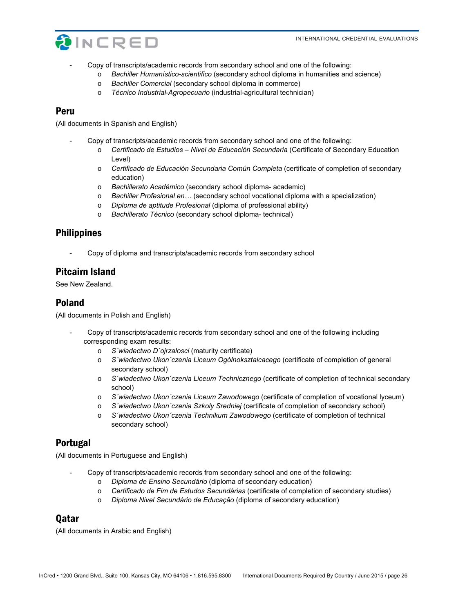

- Copy of transcripts/academic records from secondary school and one of the following:
	- o *Bachiller Humanístico-scientifico* (secondary school diploma in humanities and science)
	- o *Bachiller Comercial* (secondary school diploma in commerce)
	- o *Técnico Industrial-Agropecuario* (industrial-agricultural technician)

#### Peru

(All documents in Spanish and English)

- Copy of transcripts/academic records from secondary school and one of the following:
	- o *Certificado de Estudios Nivel de Educación Secundaria* (Certificate of Secondary Education Level)
	- o *Certificado de Educación Secundaria Común Completa* (certificate of completion of secondary education)
	- o *Bachillerato Académico* (secondary school diploma- academic)
	- o *Bachiller Profesional en…* (secondary school vocational diploma with a specialization)
	- o *Diploma de aptitude Profesional* (diploma of professional ability)
	- o *Bachillerato Técnico* (secondary school diploma- technical)

### Philippines

- Copy of diploma and transcripts/academic records from secondary school

### Pitcairn Island

See New Zealand.

#### Poland

(All documents in Polish and English)

- Copy of transcripts/academic records from secondary school and one of the following including corresponding exam results:
	- o *S´wiadectwo D´ojrzalosci* (maturity certificate)
	- o *S´wiadectwo Ukon´czenia Liceum Ogólnoksztalcacego* (certificate of completion of general secondary school)
	- o *S´wiadectwo Ukon´czenia Liceum Technicznego* (certificate of completion of technical secondary school)
	- o *S´wiadectwo Ukon´czenia Liceum Zawodowego* (certificate of completion of vocational lyceum)
	- o *S´wiadectwo Ukon´czenia Szkoly Sredniej* (certificate of completion of secondary school)
	- o *S´wiadectwo Ukon´czenia Technikum Zawodowego* (certificat*e* of completion of technical secondary school)

#### Portugal

(All documents in Portuguese and English)

- Copy of transcripts/academic records from secondary school and one of the following:
	- o *Diploma de Ensino Secundário* (diploma of secondary education)
	- o *Certificado de Fim de Estudos Secundárias* (certificate of completion of secondary studies)
	- o *Diploma Nivel Secundário de Educação* (diploma of secondary education)

#### Qatar

(All documents in Arabic and English)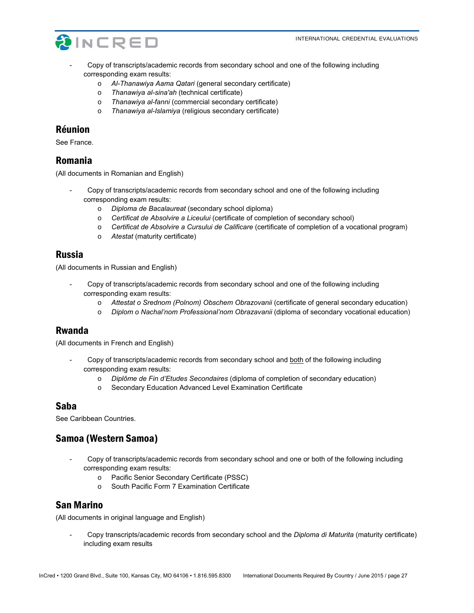

- Copy of transcripts/academic records from secondary school and one of the following including corresponding exam results:
	- o *Al-Thanawiya Aama Qatari* (general secondary certificate)
	- o *Thanawiya al-sina'ah* (technical certificate)
	- o *Thanawiya al-fanni* (commercial secondary certificate)
	- o *Thanawiya al-Islamiya* (religious secondary certificate)

#### Réunion

See France.

### Romania

(All documents in Romanian and English)

- Copy of transcripts/academic records from secondary school and one of the following including corresponding exam results:
	- o *Diploma de Bacalaureat* (secondary school diploma)
	- o *Certificat de Absolvire a Liceului* (certificate of completion of secondary school)
	- o *Certificat de Absolvire a Cursului de Calificare* (certificate of completion of a vocational program)
	- o *Atestat* (maturity certificate)

#### Russia

(All documents in Russian and English)

- Copy of transcripts/academic records from secondary school and one of the following including corresponding exam results:
	- o *Attestat o Srednom (Polnom) Obschem Obrazovanii* (certificate of general secondary education)
	- o *Diplom o Nachal'nom Professional'nom Obrazavanii* (diploma of secondary vocational education)

#### Rwanda

(All documents in French and English)

- Copy of transcripts/academic records from secondary school and both of the following including corresponding exam results:
	- o *Diplôme de Fin d'Etudes Secondaires* (diploma of completion of secondary education)
	- o Secondary Education Advanced Level Examination Certificate

#### Saba

See Caribbean Countries.

# Samoa (Western Samoa)

- Copy of transcripts/academic records from secondary school and one or both of the following including corresponding exam results:
	- o Pacific Senior Secondary Certificate (PSSC)
	- o South Pacific Form 7 Examination Certificate

### San Marino

(All documents in original language and English)

- Copy transcripts/academic records from secondary school and the *Diploma di Maturita* (maturity certificate) including exam results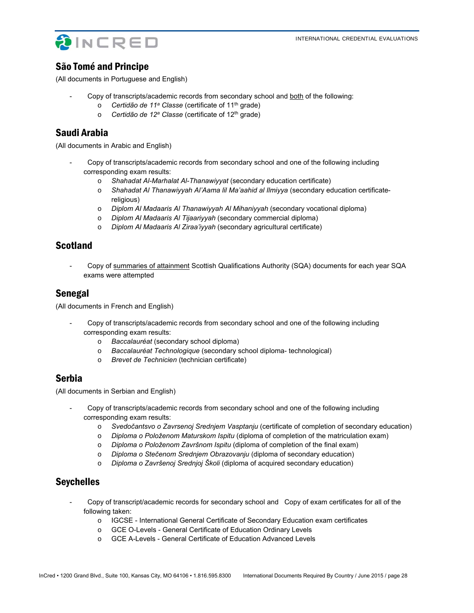



# São Tomé and Principe

(All documents in Portuguese and English)

- Copy of transcripts/academic records from secondary school and both of the following:
	- o *Certidão de 11a Classe* (certificate of 11th grade)
	- o *Certidão de 12a Classe* (certificate of 12th grade)

# Saudi Arabia

(All documents in Arabic and English)

- Copy of transcripts/academic records from secondary school and one of the following including corresponding exam results:
	- o *Shahadat Al-Marhalat Al-Thanawiyyat* (secondary education certificate)
	- o *Shahadat Al Thanawiyyah Al'Aama lil Ma'aahid al Ilmiyya* (secondary education certificatereligious)
	- o *Diplom Al Madaaris Al Thanawiyyah Al Mihaniyyah* (secondary vocational diploma)
	- o *Diplom Al Madaaris Al Tijaariyyah* (secondary commercial diploma)
	- o *Diplom Al Madaaris Al Ziraa'iyyah* (secondary agricultural certificate)

# Scotland

- Copy of summaries of attainment Scottish Qualifications Authority (SQA) documents for each year SQA exams were attempted

### Senegal

(All documents in French and English)

- Copy of transcripts/academic records from secondary school and one of the following including corresponding exam results:
	- o *Baccalauréat* (secondary school diploma)
	- o *Baccalauréat Technologique* (secondary school diploma- technological)
	- o *Brevet de Technicien* (technician certificate)

# Serbia

(All documents in Serbian and English)

- Copy of transcripts/academic records from secondary school and one of the following including corresponding exam results:
	- o *Svedočantsvo o Zavrsenoj Srednjem Vasptanju* (certificate of completion of secondary education)
	- o *Diploma o Položenom Maturskom Ispitu* (diploma of completion of the matriculation exam)
	- o *Diploma o Položenom Završnom Ispitu* (diploma of completion of the final exam)
	- o *Diploma o Stečenom Srednjem Obrazovanju* (diploma of secondary education)
	- o *Diploma o Završenoj Srednjoj Školi* (diploma of acquired secondary education)

# **Sevchelles**

- Copy of transcript/academic records for secondary school and Copy of exam certificates for all of the following taken:
	- o IGCSE International General Certificate of Secondary Education exam certificates
	- o GCE O-Levels General Certificate of Education Ordinary Levels
	- o GCE A-Levels General Certificate of Education Advanced Levels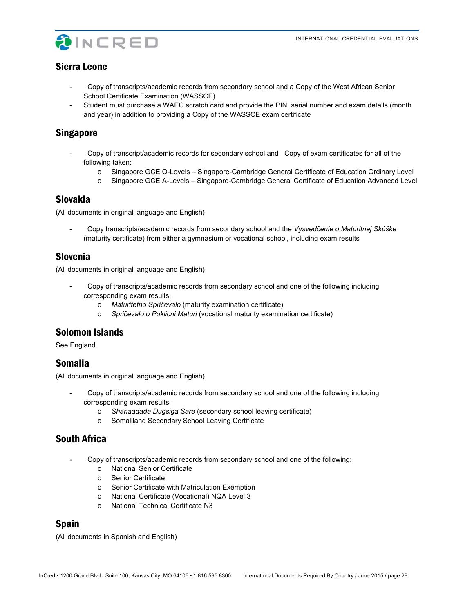

# Sierra Leone

- Copy of transcripts/academic records from secondary school and a Copy of the West African Senior School Certificate Examination (WASSCE)
- Student must purchase a WAEC scratch card and provide the PIN, serial number and exam details (month and year) in addition to providing a Copy of the WASSCE exam certificate

# Singapore

- Copy of transcript/academic records for secondary school and Copy of exam certificates for all of the following taken:
	- o Singapore GCE O-Levels Singapore-Cambridge General Certificate of Education Ordinary Level
	- o Singapore GCE A-Levels Singapore-Cambridge General Certificate of Education Advanced Level

# Slovakia

(All documents in original language and English)

- Copy transcripts/academic records from secondary school and the *Vysvedčenie o Maturitnej Skúške*  (maturity certificate) from either a gymnasium or vocational school, including exam results

### Slovenia

(All documents in original language and English)

- Copy of transcripts/academic records from secondary school and one of the following including corresponding exam results:
	- o *Maturitetno Spričevalo* (maturity examination certificate)
	- o *Spričevalo o Poklicni Maturi* (vocational maturity examination certificate)

# Solomon Islands

See England.

# Somalia

(All documents in original language and English)

- Copy of transcripts/academic records from secondary school and one of the following including corresponding exam results:
	- o *Shahaadada Dugsiga Sare* (secondary school leaving certificate)
	- o Somaliland Secondary School Leaving Certificate

# South Africa

- Copy of transcripts/academic records from secondary school and one of the following:
	- o National Senior Certificate
	- o Senior Certificate
	- o Senior Certificate with Matriculation Exemption
	- o National Certificate (Vocational) NQA Level 3
	- o National Technical Certificate N3

# Spain

(All documents in Spanish and English)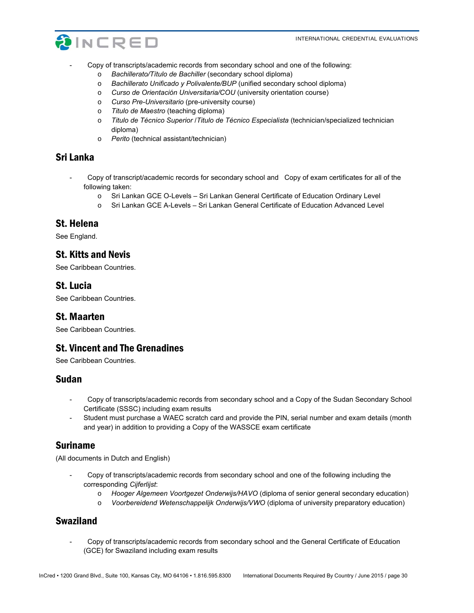

- Copy of transcripts/academic records from secondary school and one of the following:
	- o *Bachillerato/Título de Bachiller* (secondary school diploma)
	- o *Bachillerato Unificado y Polivalente/BUP* (unified secondary school diploma)
	- o *Curso de Orientación Universitaria/COU* (university orientation course)
	- o *Curso Pre-Universitario* (pre-university course)
	- o *Titulo de Maestro* (teaching diploma)
	- o *Titulo de Técnico Superior* /*Titulo de Técnico Especialista* (technician/specialized technician diploma)
	- o *Perito* (technical assistant/technician)

# Sri Lanka

- Copy of transcript/academic records for secondary school and Copy of exam certificates for all of the following taken:
	- o Sri Lankan GCE O-Levels Sri Lankan General Certificate of Education Ordinary Level
	- o Sri Lankan GCE A-Levels Sri Lankan General Certificate of Education Advanced Level

# St. Helena

See England.

# St. Kitts and Nevis

See Caribbean Countries.

# St. Lucia

See Caribbean Countries.

### St. Maarten

See Caribbean Countries.

# St. Vincent and The Grenadines

See Caribbean Countries.

### Sudan

- Copy of transcripts/academic records from secondary school and a Copy of the Sudan Secondary School Certificate (SSSC) including exam results
- Student must purchase a WAEC scratch card and provide the PIN, serial number and exam details (month and year) in addition to providing a Copy of the WASSCE exam certificate

# Suriname

(All documents in Dutch and English)

- Copy of transcripts/academic records from secondary school and one of the following including the corresponding *Cijferlijst*:
	- o *Hooger Algemeen Voortgezet Onderwijs/HAVO* (diploma of senior general secondary education)
	- o *Voorbereidend Wetenschappelijk Onderwijs/VWO* (diploma of university preparatory education)

# Swaziland

- Copy of transcripts/academic records from secondary school and the General Certificate of Education (GCE) for Swaziland including exam results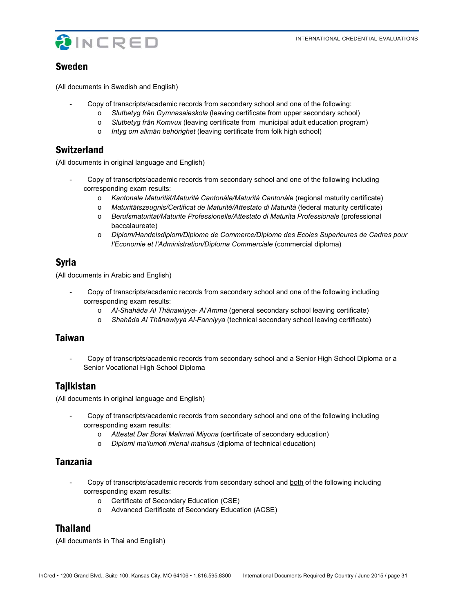

### Sweden

(All documents in Swedish and English)

- Copy of transcripts/academic records from secondary school and one of the following:
	- o *Slutbetyg från Gymnasaieskola* (leaving certificate from upper secondary school)
	- o *Slutbetyg från Komvux* (leaving certificate from municipal adult education program)
	- o *Intyg om allmän behörighet* (leaving certificate from folk high school)

### **Switzerland**

(All documents in original language and English)

- Copy of transcripts/academic records from secondary school and one of the following including corresponding exam results:
	- o *Kantonale Maturität/Maturité Cantonále/Maturità Cantonále* (regional maturity certificate)
	- o *Maturitätszeugnis/Certificat de Maturité/Attestato di Maturità* (federal maturity certificate)
	- o *Berufsmaturitat/Maturite Professionelle/Attestato di Maturita Professionale* (professional baccalaureate)
	- o *Diplom/Handelsdiplom/Diplome de Commerce/Diplome des Ecoles Superieures de Cadres pour l'Economie et l'Administration/Diploma Commerciale* (commercial diploma)

### Syria

(All documents in Arabic and English)

- Copy of transcripts/academic records from secondary school and one of the following including corresponding exam results:
	- o *Al-Shahâda Al Thânawiyya- Al'Amma* (general secondary school leaving certificate)
	- o *Shahâda Al Thânawiyya Al-Fanniyya* (technical secondary school leaving certificate)

### Taiwan

- Copy of transcripts/academic records from secondary school and a Senior High School Diploma or a Senior Vocational High School Diploma

# **Tajikistan**

(All documents in original language and English)

- Copy of transcripts/academic records from secondary school and one of the following including corresponding exam results:
	- o *Attestat Dar Borai Malimati Miyona* (certificate of secondary education)
	- o *Diplomi ma'lumoti mienai mahsus* (diploma of technical education)

# Tanzania

- Copy of transcripts/academic records from secondary school and both of the following including corresponding exam results:
	- o Certificate of Secondary Education (CSE)
	- o Advanced Certificate of Secondary Education (ACSE)

# Thailand

(All documents in Thai and English)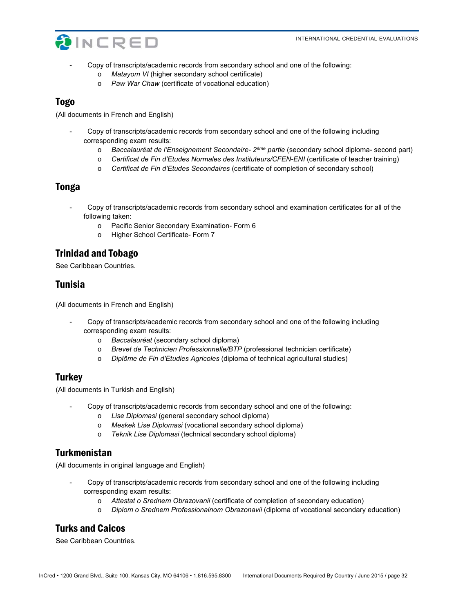

- Copy of transcripts/academic records from secondary school and one of the following:
	- o *Matayom VI* (higher secondary school certificate)
	- o *Paw War Chaw* (certificate of vocational education)

#### Togo

(All documents in French and English)

- Copy of transcripts/academic records from secondary school and one of the following including corresponding exam results:
	- o *Baccalauréat de l'Enseignement Secondaire- 2ème partie* (secondary school diploma- second part)
	- o *Certificat de Fin d'Etudes Normales des Instituteurs/CFEN-ENI* (certificate of teacher training)
	- o *Certificat de Fin d'Etudes Secondaires* (certificate of completion of secondary school)

### Tonga

- Copy of transcripts/academic records from secondary school and examination certificates for all of the following taken:
	- o Pacific Senior Secondary Examination- Form 6
	- o Higher School Certificate- Form 7

### Trinidad and Tobago

See Caribbean Countries.

### Tunisia

(All documents in French and English)

- Copy of transcripts/academic records from secondary school and one of the following including corresponding exam results:
	- o *Baccalauréat* (secondary school diploma)
	- o *Brevet de Technicien Professionnelle/BTP* (professional technician certificate)
	- o *Diplôme de Fin d'Etudies Agricoles* (diploma of technical agricultural studies)

### **Turkey**

(All documents in Turkish and English)

- Copy of transcripts/academic records from secondary school and one of the following:
	- o *Lise Diplomasi* (general secondary school diploma)
	- o *Meskek Lise Diplomasi* (vocational secondary school diploma)
	- o *Teknik Lise Diplomasi* (technical secondary school diploma)

# Turkmenistan

(All documents in original language and English)

- Copy of transcripts/academic records from secondary school and one of the following including corresponding exam results:
	- o *Attestat o Srednem Obrazovanii* (certificate of completion of secondary education)
	- o *Diplom o Srednem Professionalnom Obrazonavii* (diploma of vocational secondary education)

# Turks and Caicos

See Caribbean Countries.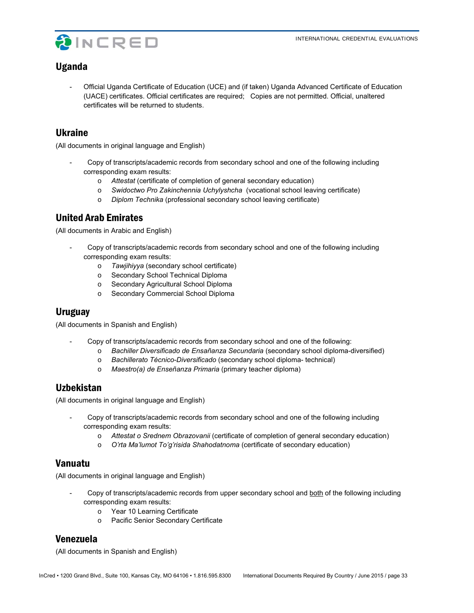

# Uganda

- Official Uganda Certificate of Education (UCE) and (if taken) Uganda Advanced Certificate of Education (UACE) certificates. Official certificates are required; Copies are not permitted. Official, unaltered certificates will be returned to students.

### Ukraine

(All documents in original language and English)

- Copy of transcripts/academic records from secondary school and one of the following including corresponding exam results:
	- o *Attestat* (certificate of completion of general secondary education)
	- o *Swidoctwo Pro Zakinchennia Uchylyshcha* (vocational school leaving certificate)
	- o *Diplom Technika* (professional secondary school leaving certificate)

# United Arab Emirates

(All documents in Arabic and English)

- Copy of transcripts/academic records from secondary school and one of the following including corresponding exam results:
	- o *Tawjihiyya* (secondary school certificate)
	- o Secondary School Technical Diploma
	- o Secondary Agricultural School Diploma
	- o Secondary Commercial School Diploma

### **Uruguay**

(All documents in Spanish and English)

- Copy of transcripts/academic records from secondary school and one of the following:
	- o *Bachiller Diversificado de Ensañanza Secundaria* (secondary school diploma-diversified)
	- o *Bachillerato Técnico-Diversificado* (secondary school diploma- technical)
	- o *Maestro(a) de Enseñanza Primaria* (primary teacher diploma)

# Uzbekistan

(All documents in original language and English)

- Copy of transcripts/academic records from secondary school and one of the following including corresponding exam results:
	- o *Attestat o Srednem Obrazovanii* (certificate of completion of general secondary education)
	- o *O'rta Ma'lumot To'g'risida Shahodatnoma* (certificate of secondary education)

# Vanuatu

(All documents in original language and English)

- Copy of transcripts/academic records from upper secondary school and both of the following including corresponding exam results:
	- o Year 10 Learning Certificate
	- o Pacific Senior Secondary Certificate

# Venezuela

(All documents in Spanish and English)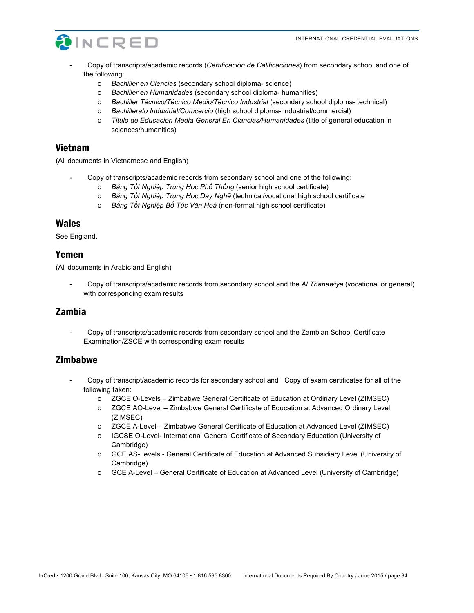

- Copy of transcripts/academic records (*Certificación de Calificaciones*) from secondary school and one of the following:
	- o *Bachiller en Ciencias* (secondary school diploma- science)
	- o *Bachiller en Humanidades* (secondary school diploma- humanities)
	- o *Bachiller Técnico/Técnico Medio/Técnico Industrial* (secondary school diploma- technical)
	- o *Bachillerato Industrial/Comcercio* (high school diploma- industrial/commercial)
	- o *Titulo de Educacion Media General En Ciancias/Humanidades* (title of general education in sciences/humanities)

#### Vietnam

(All documents in Vietnamese and English)

- Copy of transcripts/academic records from secondary school and one of the following:
	- o *Bắng Tốt Nghiệp Trung Học Phố Thống* (senior high school certificate)
	- o *Bắng Tốt Nghiệp Trung Học Dạy Nghẽ* (technical/vocational high school certificate
	- o *Bắng Tốt Nghiệp Bố Túc Văn Hoá* (non-formal high school certificate)

#### Wales

See England.

#### Yemen

(All documents in Arabic and English)

- Copy of transcripts/academic records from secondary school and the *Al Thanawiya* (vocational or general) with corresponding exam results

### Zambia

- Copy of transcripts/academic records from secondary school and the Zambian School Certificate Examination/ZSCE with corresponding exam results

### **Zimbabwe**

- Copy of transcript/academic records for secondary school and Copy of exam certificates for all of the following taken:
	- o ZGCE O-Levels Zimbabwe General Certificate of Education at Ordinary Level (ZIMSEC)
	- o ZGCE AO-Level Zimbabwe General Certificate of Education at Advanced Ordinary Level (ZIMSEC)
	- o ZGCE A-Level Zimbabwe General Certificate of Education at Advanced Level (ZIMSEC)
	- o IGCSE O-Level- International General Certificate of Secondary Education (University of Cambridge)
	- o GCE AS-Levels General Certificate of Education at Advanced Subsidiary Level (University of Cambridge)
	- o GCE A-Level General Certificate of Education at Advanced Level (University of Cambridge)